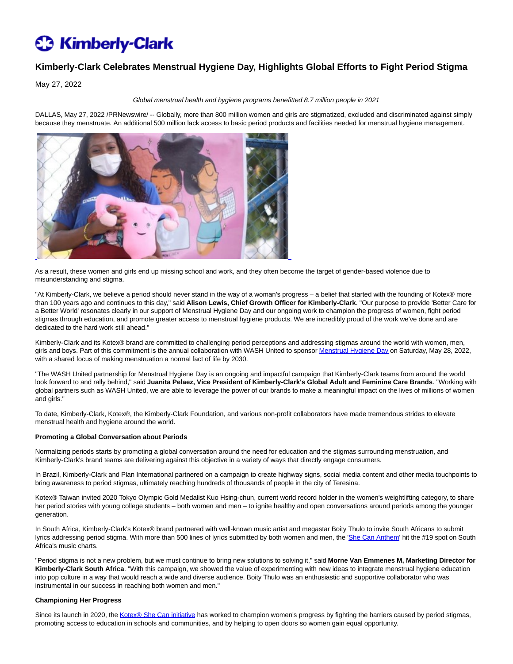## **C** Kimberly-Clark

### **Kimberly-Clark Celebrates Menstrual Hygiene Day, Highlights Global Efforts to Fight Period Stigma**

May 27, 2022

#### Global menstrual health and hygiene programs benefitted 8.7 million people in 2021

DALLAS, May 27, 2022 /PRNewswire/ -- Globally, more than 800 million women and girls are stigmatized, excluded and discriminated against simply because they menstruate. An additional 500 million lack access to basic period products and facilities needed for menstrual hygiene management.



As a result, these women and girls end up missing school and work, and they often become the target of gender-based violence due to misunderstanding and stigma.

"At Kimberly-Clark, we believe a period should never stand in the way of a woman's progress – a belief that started with the founding of Kotex® more than 100 years ago and continues to this day," said **Alison Lewis, Chief Growth Officer for Kimberly-Clark**. "Our purpose to provide 'Better Care for a Better World' resonates clearly in our support of Menstrual Hygiene Day and our ongoing work to champion the progress of women, fight period stigmas through education, and promote greater access to menstrual hygiene products. We are incredibly proud of the work we've done and are dedicated to the hard work still ahead."

Kimberly-Clark and its Kotex® brand are committed to challenging period perceptions and addressing stigmas around the world with women, men, girls and boys. Part of this commitment is the annual collaboration with WASH United to sponso[r Menstrual Hygiene Day o](https://c212.net/c/link/?t=0&l=en&o=3547441-1&h=556347173&u=https%3A%2F%2Fmenstrualhygieneday.org%2F&a=Menstrual+Hygiene+Day)n Saturday, May 28, 2022, with a shared focus of making menstruation a normal fact of life by 2030.

"The WASH United partnership for Menstrual Hygiene Day is an ongoing and impactful campaign that Kimberly-Clark teams from around the world look forward to and rally behind," said **Juanita Pelaez, Vice President of Kimberly-Clark's Global Adult and Feminine Care Brands**. "Working with global partners such as WASH United, we are able to leverage the power of our brands to make a meaningful impact on the lives of millions of women and girls."

To date, Kimberly-Clark, Kotex®, the Kimberly-Clark Foundation, and various non-profit collaborators have made tremendous strides to elevate menstrual health and hygiene around the world.

#### **Promoting a Global Conversation about Periods**

Normalizing periods starts by promoting a global conversation around the need for education and the stigmas surrounding menstruation, and Kimberly-Clark's brand teams are delivering against this objective in a variety of ways that directly engage consumers.

In Brazil, Kimberly-Clark and Plan International partnered on a campaign to create highway signs, social media content and other media touchpoints to bring awareness to period stigmas, ultimately reaching hundreds of thousands of people in the city of Teresina.

Kotex® Taiwan invited 2020 Tokyo Olympic Gold Medalist Kuo Hsing-chun, current world record holder in the women's weightlifting category, to share her period stories with young college students – both women and men – to ignite healthy and open conversations around periods among the younger generation.

In South Africa, Kimberly-Clark's Kotex® brand partnered with well-known music artist and megastar Boity Thulo to invite South Africans to submit lyrics addressing period stigma. With more than 500 lines of lyrics submitted by both women and men, the ['She Can Anthem'](https://c212.net/c/link/?t=0&l=en&o=3547441-1&h=3323244454&u=https%3A%2F%2Fyoutu.be%2FaEAuMBqbdA8&a=She+Can+Anthem) hit the #19 spot on South Africa's music charts.

"Period stigma is not a new problem, but we must continue to bring new solutions to solving it," said **Morne Van Emmenes M, Marketing Director for Kimberly-Clark South Africa**. "With this campaign, we showed the value of experimenting with new ideas to integrate menstrual hygiene education into pop culture in a way that would reach a wide and diverse audience. Boity Thulo was an enthusiastic and supportive collaborator who was instrumental in our success in reaching both women and men."

#### **Championing Her Progress**

Since its launch in 2020, the [Kotex® She Can initiative h](https://c212.net/c/link/?t=0&l=en&o=3547441-1&h=1562712954&u=https%3A%2F%2Fwww.kimberly-clark.com%2Fresponsibility%2Fsocial-impact%2Fkotex-she-can-initiative&a=Kotex%C2%AE+She+Can+initiative)as worked to champion women's progress by fighting the barriers caused by period stigmas, promoting access to education in schools and communities, and by helping to open doors so women gain equal opportunity.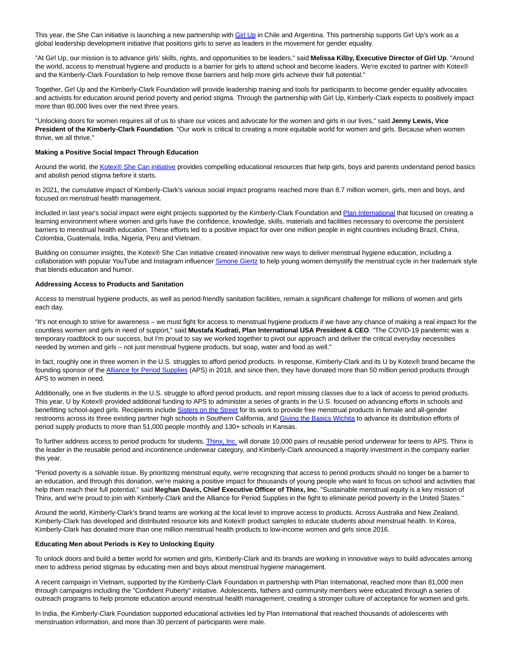This year, the She Can initiative is launching a new partnership with [Girl Up i](https://c212.net/c/link/?t=0&l=en&o=3547441-1&h=3571262961&u=https%3A%2F%2Fgirlup.org%2F&a=Girl+Up)n Chile and Argentina. This partnership supports Girl Up's work as a global leadership development initiative that positions girls to serve as leaders in the movement for gender equality.

"At Girl Up, our mission is to advance girls' skills, rights, and opportunities to be leaders," said **Melissa Kilby, Executive Director of Girl Up**. "Around the world, access to menstrual hygiene and products is a barrier for girls to attend school and become leaders. We're excited to partner with Kotex® and the Kimberly-Clark Foundation to help remove those barriers and help more girls achieve their full potential."

Together, Girl Up and the Kimberly-Clark Foundation will provide leadership training and tools for participants to become gender equality advocates and activists for education around period poverty and period stigma. Through the partnership with Girl Up, Kimberly-Clark expects to positively impact more than 80,000 lives over the next three years.

"Unlocking doors for women requires all of us to share our voices and advocate for the women and girls in our lives," said **Jenny Lewis, Vice President of the Kimberly-Clark Foundation**. "Our work is critical to creating a more equitable world for women and girls. Because when women thrive, we all thrive."

#### **Making a Positive Social Impact Through Education**

Around the world, th[e Kotex® She Can initiative p](https://c212.net/c/link/?t=0&l=en&o=3547441-1&h=1562712954&u=https%3A%2F%2Fwww.kimberly-clark.com%2Fresponsibility%2Fsocial-impact%2Fkotex-she-can-initiative&a=Kotex%C2%AE+She+Can+initiative)rovides compelling educational resources that help girls, boys and parents understand period basics and abolish period stigma before it starts.

In 2021, the cumulative impact of Kimberly-Clark's various social impact programs reached more than 8.7 million women, girls, men and boys, and focused on menstrual health management.

Included in last year's social impact were eight projects supported by the Kimberly-Clark Foundation and [Plan International t](https://c212.net/c/link/?t=0&l=en&o=3547441-1&h=3943204521&u=https%3A%2F%2Fwww.planusa.org%2Fmenstrual-health-programming%2F&a=Plan+International)hat focused on creating a learning environment where women and girls have the confidence, knowledge, skills, materials and facilities necessary to overcome the persistent barriers to menstrual health education. These efforts led to a positive impact for over one million people in eight countries including Brazil, China, Colombia, Guatemala, India, Nigeria, Peru and Vietnam.

Building on consumer insights, the Kotex® She Can initiative created innovative new ways to deliver menstrual hygiene education, including a collaboration with popular YouTube and Instagram influence[r Simone Giertz t](https://c212.net/c/link/?t=0&l=en&o=3547441-1&h=2081323874&u=https%3A%2F%2Fyoutu.be%2FW46qEoc3Bf0&a=Simone+Giertz)o help young women demystify the menstrual cycle in her trademark style that blends education and humor.

#### **Addressing Access to Products and Sanitation**

Access to menstrual hygiene products, as well as period-friendly sanitation facilities, remain a significant challenge for millions of women and girls each day.

"It's not enough to strive for awareness – we must fight for access to menstrual hygiene products if we have any chance of making a real impact for the countless women and girls in need of support," said **Mustafa Kudrati, Plan International USA President & CEO**. "The COVID-19 pandemic was a temporary roadblock to our success, but I'm proud to say we worked together to pivot our approach and deliver the critical everyday necessities needed by women and girls – not just menstrual hygiene products, but soap, water and food as well."

In fact, roughly one in three women in the U.S. struggles to afford period products. In response, Kimberly-Clark and its U by Kotex® brand became the founding sponsor of the [Alliance for Period Supplies \(](https://c212.net/c/link/?t=0&l=en&o=3547441-1&h=1364590004&u=https%3A%2F%2Fallianceforperiodsupplies.org%2F&a=Alliance+for+Period+Supplies)APS) in 2018, and since then, they have donated more than 50 million period products through APS to women in need.

Additionally, one in five students in the U.S. struggle to afford period products, and report missing classes due to a lack of access to period products. This year, U by Kotex® provided additional funding to APS to administer a series of grants in the U.S. focused on advancing efforts in schools and benefitting school-aged girls. Recipients includ[e Sisters on the Street f](https://c212.net/c/link/?t=0&l=en&o=3547441-1&h=733671372&u=http%3A%2F%2Fwww.sistersonthestreets.org%2F&a=Sisters+on+the+Street)or its work to provide free menstrual products in female and all-gender restrooms across its three existing partner high schools in Southern California, an[d Giving the Basics Wichita t](https://c212.net/c/link/?t=0&l=en&o=3547441-1&h=3782305764&u=https%3A%2F%2Fwww.givingthebasics.org%2Fwichita&a=Giving+the+Basics+Wichita)o advance its distribution efforts of period supply products to more than 51,000 people monthly and 130+ schools in Kansas.

To further address access to period products for students[, Thinx, Inc. w](https://c212.net/c/link/?t=0&l=en&o=3547441-1&h=3950430923&u=https%3A%2F%2Fwww.shethinx.com%2F&a=Thinx%2C+Inc.)ill donate 10,000 pairs of reusable period underwear for teens to APS. Thinx is the leader in the reusable period and incontinence underwear category, and Kimberly-Clark announced a majority investment in the company earlier this year.

"Period poverty is a solvable issue. By prioritizing menstrual equity, we're recognizing that access to period products should no longer be a barrier to an education, and through this donation, we're making a positive impact for thousands of young people who want to focus on school and activities that help them reach their full potential," said **Meghan Davis, Chief Executive Officer of Thinx, Inc**. "Sustainable menstrual equity is a key mission of Thinx, and we're proud to join with Kimberly-Clark and the Alliance for Period Supplies in the fight to eliminate period poverty in the United States."

Around the world, Kimberly-Clark's brand teams are working at the local level to improve access to products. Across Australia and New Zealand, Kimberly-Clark has developed and distributed resource kits and Kotex® product samples to educate students about menstrual health. In Korea, Kimberly-Clark has donated more than one million menstrual health products to low-income women and girls since 2016.

#### **Educating Men about Periods is Key to Unlocking Equity**

To unlock doors and build a better world for women and girls, Kimberly-Clark and its brands are working in innovative ways to build advocates among men to address period stigmas by educating men and boys about menstrual hygiene management.

A recent campaign in Vietnam, supported by the Kimberly-Clark Foundation in partnership with Plan International, reached more than 81,000 men through campaigns including the "Confident Puberty" initiative. Adolescents, fathers and community members were educated through a series of outreach programs to help promote education around menstrual health management, creating a stronger culture of acceptance for women and girls.

In India, the Kimberly-Clark Foundation supported educational activities led by Plan International that reached thousands of adolescents with menstruation information, and more than 30 percent of participants were male.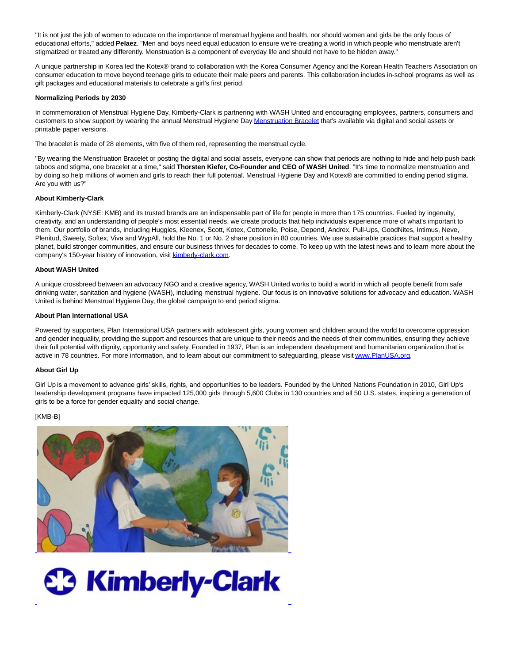"It is not just the job of women to educate on the importance of menstrual hygiene and health, nor should women and girls be the only focus of educational efforts," added **Pelaez**. "Men and boys need equal education to ensure we're creating a world in which people who menstruate aren't stigmatized or treated any differently. Menstruation is a component of everyday life and should not have to be hidden away."

A unique partnership in Korea led the Kotex® brand to collaboration with the Korea Consumer Agency and the Korean Health Teachers Association on consumer education to move beyond teenage girls to educate their male peers and parents. This collaboration includes in-school programs as well as gift packages and educational materials to celebrate a girl's first period.

#### **Normalizing Periods by 2030**

In commemoration of Menstrual Hygiene Day, Kimberly-Clark is partnering with WASH United and encouraging employees, partners, consumers and customers to show support by wearing the annual Menstrual Hygiene Da[y Menstruation Bracelet t](https://c212.net/c/link/?t=0&l=en&o=3547441-1&h=3240657320&u=https%3A%2F%2Fmenstrualhygieneday.org%2Fmenstruationbracelet%2F&a=Menstruation+Bracelet)hat's available via digital and social assets or printable paper versions.

The bracelet is made of 28 elements, with five of them red, representing the menstrual cycle.

"By wearing the Menstruation Bracelet or posting the digital and social assets, everyone can show that periods are nothing to hide and help push back taboos and stigma, one bracelet at a time," said **Thorsten Kiefer, Co-Founder and CEO of WASH United**. "It's time to normalize menstruation and by doing so help millions of women and girls to reach their full potential. Menstrual Hygiene Day and Kotex® are committed to ending period stigma. Are you with us?"

#### **About Kimberly-Clark**

Kimberly-Clark (NYSE: KMB) and its trusted brands are an indispensable part of life for people in more than 175 countries. Fueled by ingenuity, creativity, and an understanding of people's most essential needs, we create products that help individuals experience more of what's important to them. Our portfolio of brands, including Huggies, Kleenex, Scott, Kotex, Cottonelle, Poise, Depend, Andrex, Pull-Ups, GoodNites, Intimus, Neve, Plenitud, Sweety, Softex, Viva and WypAll, hold the No. 1 or No. 2 share position in 80 countries. We use sustainable practices that support a healthy planet, build stronger communities, and ensure our business thrives for decades to come. To keep up with the latest news and to learn more about the company's 150-year history of innovation, visi[t kimberly-clark.com.](http://kimberly-clark.com/)

#### **About WASH United**

A unique crossbreed between an advocacy NGO and a creative agency, WASH United works to build a world in which all people benefit from safe drinking water, sanitation and hygiene (WASH), including menstrual hygiene. Our focus is on innovative solutions for advocacy and education. WASH United is behind Menstrual Hygiene Day, the global campaign to end period stigma.

#### **About Plan International USA**

Powered by supporters, Plan International USA partners with adolescent girls, young women and children around the world to overcome oppression and gender inequality, providing the support and resources that are unique to their needs and the needs of their communities, ensuring they achieve their full potential with dignity, opportunity and safety. Founded in 1937, Plan is an independent development and humanitarian organization that is active in 78 countries. For more information, and to learn about our commitment to safeguarding, please visi[t www.PlanUSA.org.](https://c212.net/c/link/?t=0&l=en&o=3547441-1&h=1580093362&u=http%3A%2F%2Fwww.planusa.org%2F&a=www.PlanUSA.org)

#### **About Girl Up**

Girl Up is a movement to advance girls' skills, rights, and opportunities to be leaders. Founded by the United Nations Foundation in 2010, Girl Up's leadership development programs have impacted 125,000 girls through 5,600 Clubs in 130 countries and all 50 U.S. states, inspiring a generation of girls to be a force for gender equality and social change.

#### [KMB-B]